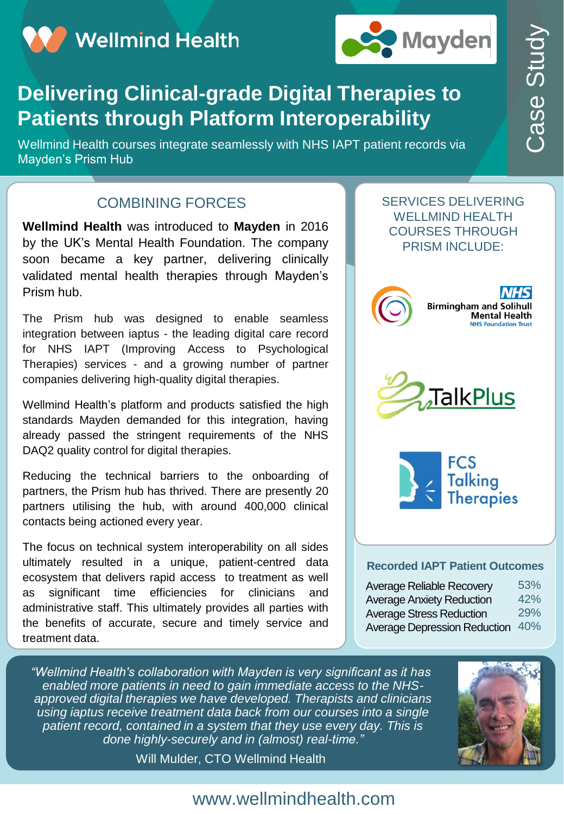**Wellmind Health** 



# **Delivering Clinical-grade Digital Therapies to Patients through Platform Interoperability**

Wellmind Health courses integrate seamlessly with NHS IAPT patient records via Mayden's Prism Hub

#### COMBINING FORCES

**Wellmind Health** was introduced to **Mayden** in 2016 by the UK's Mental Health Foundation. The company soon became a key partner, delivering clinically validated mental health therapies through Mayden's Prism hub.

The Prism hub was designed to enable seamless integration between iaptus - the leading digital care record for NHS IAPT (Improving Access to Psychological Therapies) services - and a growing number of partner companies delivering high-quality digital therapies.

Wellmind Health's platform and products satisfied the high standards Mayden demanded for this integration, having already passed the stringent requirements of the NHS DAQ2 quality control for digital therapies.

Reducing the technical barriers to the onboarding of partners, the Prism hub has thrived. There are presently 20 partners utilising the hub, with around 400,000 clinical contacts being actioned every year.

The focus on technical system interoperability on all sides ultimately resulted in a unique, patient-centred data ecosystem that delivers rapid access to treatment as well as significant time efficiencies for clinicians and administrative staff. This ultimately provides all parties with the benefits of accurate, secure and timely service and treatment data.







#### **Recorded IAPT Patient Outcomes**

| <b>Mayden</b>                                                                                                                           |                          |
|-----------------------------------------------------------------------------------------------------------------------------------------|--------------------------|
| erapies to<br>rability<br>patient records via                                                                                           |                          |
| <b>SERVICES DELIVERING</b><br><b>WELLMIND HEALTH</b><br><b>COURSES THROUGH</b><br><b>PRISM INCLUDE:</b>                                 |                          |
| C<br><b>Birmingham and Solihull</b><br><b>Mental Health</b><br><b>NHS Foundation Trust</b>                                              |                          |
| <b>TalkPlus</b>                                                                                                                         |                          |
| <b>FCS</b><br><b>Talking</b><br>Therapies                                                                                               |                          |
| <b>Recorded IAPT Patient Outcomes</b>                                                                                                   |                          |
| Average Reliable Recovery<br><b>Average Anxiety Reduction</b><br><b>Average Stress Reduction</b><br><b>Average Depression Reduction</b> | 53%<br>42%<br>29%<br>40% |

*"Wellmind Health's collaboration with Mayden is very significant as it has enabled more patients in need to gain immediate access to the NHSapproved digital therapies we have developed. Therapists and clinicians using iaptus receive treatment data back from our courses into a single patient record, contained in a system that they use every day. This is done highly-securely and in (almost) real-time."* 

Will Mulder, CTO Wellmind Health



### www.wellmindhealth.com